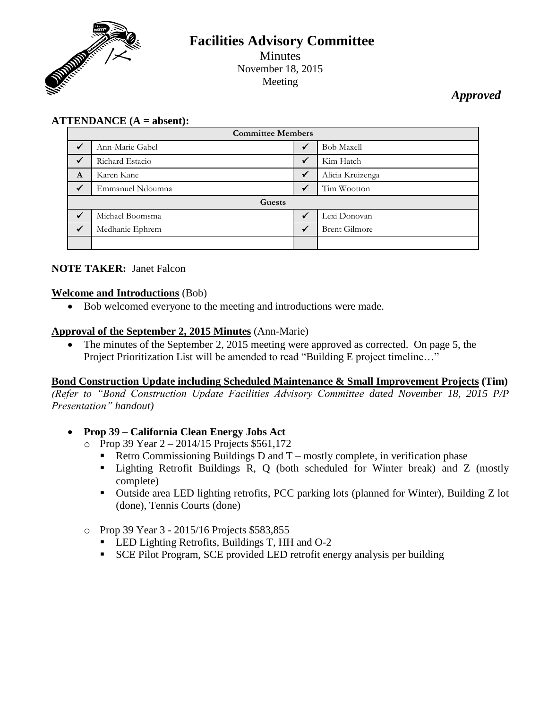

# **Facilities Advisory Committee** Minutes November 18, 2015 Meeting

*Approved*

## **ATTENDANCE (A = absent):**

| <b>Committee Members</b> |                  |              |                      |
|--------------------------|------------------|--------------|----------------------|
| $\checkmark$             | Ann-Marie Gabel  | $\checkmark$ | <b>Bob Maxell</b>    |
|                          | Richard Estacio  | $\checkmark$ | Kim Hatch            |
| A                        | Karen Kane       | $\checkmark$ | Alicia Kruizenga     |
| $\checkmark$             | Emmanuel Ndoumna | ✓            | Tim Wootton          |
| Guests                   |                  |              |                      |
|                          | Michael Boomsma  |              | Lexi Donovan         |
|                          | Medhanie Ephrem  | $\sqrt{ }$   | <b>Brent Gilmore</b> |
|                          |                  |              |                      |

## **NOTE TAKER:** Janet Falcon

## **Welcome and Introductions** (Bob)

Bob welcomed everyone to the meeting and introductions were made.

#### **Approval of the September 2, 2015 Minutes** (Ann-Marie)

• The minutes of the September 2, 2015 meeting were approved as corrected. On page 5, the Project Prioritization List will be amended to read "Building E project timeline…"

#### **Bond Construction Update including Scheduled Maintenance & Small Improvement Projects (Tim)**

*(Refer to "Bond Construction Update Facilities Advisory Committee dated November 18, 2015 P/P Presentation" handout)*

## **Prop 39 – California Clean Energy Jobs Act**

- $\degree$  Prop 39 Year 2 2014/15 Projects \$561,172
	- Retro Commissioning Buildings D and  $T$  mostly complete, in verification phase
	- Lighting Retrofit Buildings R, Q (both scheduled for Winter break) and Z (mostly complete)
	- Outside area LED lighting retrofits, PCC parking lots (planned for Winter), Building Z lot (done), Tennis Courts (done)

#### o Prop 39 Year 3 - 2015/16 Projects \$583,855

- **LED Lighting Retrofits, Buildings T, HH and O-2**
- SCE Pilot Program, SCE provided LED retrofit energy analysis per building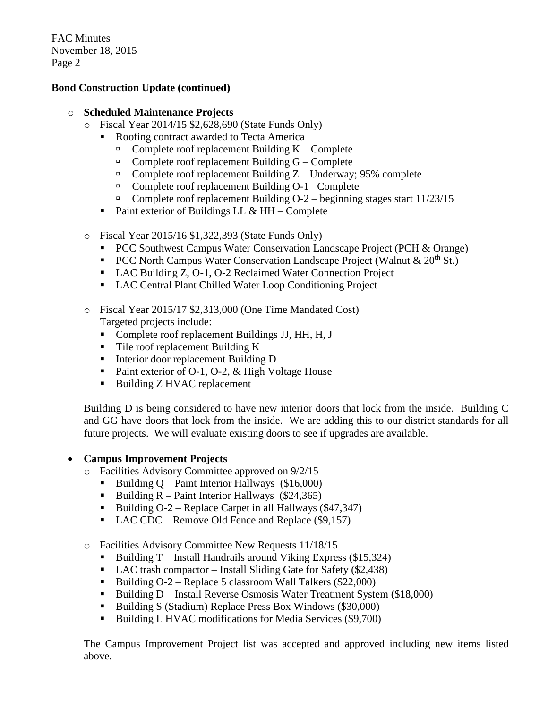#### **Bond Construction Update (continued)**

#### o **Scheduled Maintenance Projects**

- o Fiscal Year 2014/15 \$2,628,690 (State Funds Only)
	- Roofing contract awarded to Tecta America
		- Complete roof replacement Building K Complete
		- $\Box$  Complete roof replacement Building G Complete
		- $\Box$  Complete roof replacement Building Z Underway; 95% complete
		- □ Complete roof replacement Building O-1– Complete
		- Complete roof replacement Building  $O-2$  beginning stages start  $11/23/15$
	- Paint exterior of Buildings LL  $&$  HH Complete
- o Fiscal Year 2015/16 \$1,322,393 (State Funds Only)
	- **PCC Southwest Campus Water Conservation Landscape Project (PCH & Orange)**
	- **PCC North Campus Water Conservation Landscape Project (Walnut & 20<sup>th</sup> St.)**
	- LAC Building Z, O-1, O-2 Reclaimed Water Connection Project
	- LAC Central Plant Chilled Water Loop Conditioning Project
- o Fiscal Year 2015/17 \$2,313,000 (One Time Mandated Cost)

Targeted projects include:

- Complete roof replacement Buildings JJ, HH, H, J
- Tile roof replacement Building K
- Interior door replacement Building D
- Paint exterior of O-1, O-2,  $&$  High Voltage House
- Building Z HVAC replacement

Building D is being considered to have new interior doors that lock from the inside. Building C and GG have doors that lock from the inside. We are adding this to our district standards for all future projects. We will evaluate existing doors to see if upgrades are available.

## **Campus Improvement Projects**

- o Facilities Advisory Committee approved on 9/2/15
	- Building  $Q$  Paint Interior Hallways (\$16,000)
	- Building  $R$  Paint Interior Hallways (\$24,365)
	- Building  $O-2$  Replace Carpet in all Hallways (\$47,347)
	- $\blacksquare$  LAC CDC Remove Old Fence and Replace (\$9,157)

o Facilities Advisory Committee New Requests 11/18/15

- Building T Install Handrails around Viking Express (\$15,324)
- LAC trash compactor Install Sliding Gate for Safety (\$2,438)
- Building  $O-2$  Replace 5 classroom Wall Talkers (\$22,000)
- Building D Install Reverse Osmosis Water Treatment System (\$18,000)
- Building S (Stadium) Replace Press Box Windows (\$30,000)
- Building L HVAC modifications for Media Services (\$9,700)

The Campus Improvement Project list was accepted and approved including new items listed above.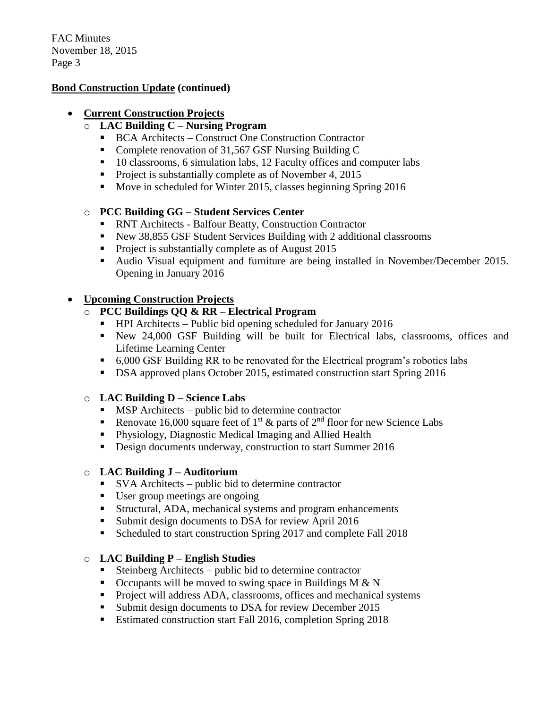#### **Bond Construction Update (continued)**

#### **Current Construction Projects**

- o **LAC Building C – Nursing Program**
	- BCA Architects Construct One Construction Contractor
	- Complete renovation of 31,567 GSF Nursing Building C
	- 10 classrooms, 6 simulation labs, 12 Faculty offices and computer labs
	- **Project is substantially complete as of November 4, 2015**
	- Move in scheduled for Winter 2015, classes beginning Spring 2016

#### o **PCC Building GG – Student Services Center**

- RNT Architects Balfour Beatty, Construction Contractor
- New 38,855 GSF Student Services Building with 2 additional classrooms
- **Project is substantially complete as of August 2015**
- Audio Visual equipment and furniture are being installed in November/December 2015. Opening in January 2016

## **Upcoming Construction Projects**

- o **PCC Buildings QQ & RR – Electrical Program**
	- $\blacksquare$  HPI Architects Public bid opening scheduled for January 2016
	- New 24,000 GSF Building will be built for Electrical labs, classrooms, offices and Lifetime Learning Center
	- 6,000 GSF Building RR to be renovated for the Electrical program's robotics labs
	- **DSA approved plans October 2015, estimated construction start Spring 2016**

#### o **LAC Building D – Science Labs**

- $\blacksquare$  MSP Architects public bid to determine contractor
- Renovate 16,000 square feet of 1<sup>st</sup>  $\&$  parts of 2<sup>nd</sup> floor for new Science Labs
- Physiology, Diagnostic Medical Imaging and Allied Health
- Design documents underway, construction to start Summer 2016

#### o **LAC Building J – Auditorium**

- SVA Architects public bid to determine contractor
- User group meetings are ongoing
- Structural, ADA, mechanical systems and program enhancements
- **Submit design documents to DSA for review April 2016**
- Scheduled to start construction Spring 2017 and complete Fall 2018

#### o **LAC Building P – English Studies**

- Steinberg Architects public bid to determine contractor
- $\blacksquare$  Occupants will be moved to swing space in Buildings M & N
- **Project will address ADA, classrooms, offices and mechanical systems**
- **Submit design documents to DSA for review December 2015**
- Estimated construction start Fall 2016, completion Spring 2018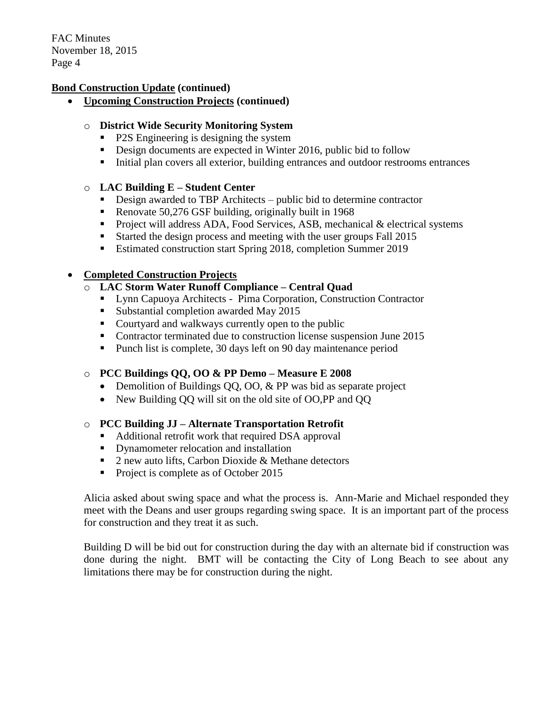#### **Bond Construction Update (continued)**

**Upcoming Construction Projects (continued)**

#### o **District Wide Security Monitoring System**

- P2S Engineering is designing the system
- Design documents are expected in Winter 2016, public bid to follow
- Initial plan covers all exterior, building entrances and outdoor restrooms entrances

#### o **LAC Building E – Student Center**

- Design awarded to TBP Architects public bid to determine contractor
- Renovate 50,276 GSF building, originally built in 1968
- Project will address ADA, Food Services, ASB, mechanical  $&$  electrical systems
- Started the design process and meeting with the user groups Fall 2015
- Estimated construction start Spring 2018, completion Summer 2019

#### **Completed Construction Projects**

- o **LAC Storm Water Runoff Compliance – Central Quad**
	- Lynn Capuoya Architects Pima Corporation, Construction Contractor
	- Substantial completion awarded May 2015
	- Courtyard and walkways currently open to the public
	- Contractor terminated due to construction license suspension June 2015
	- Punch list is complete, 30 days left on 90 day maintenance period

## o **PCC Buildings QQ, OO & PP Demo – Measure E 2008**

- Demolition of Buildings QQ, QQ, & PP was bid as separate project
- New Building OO will sit on the old site of OO,PP and OO

## o **PCC Building JJ – Alternate Transportation Retrofit**

- Additional retrofit work that required DSA approval
- Dynamometer relocation and installation
- 2 new auto lifts, Carbon Dioxide & Methane detectors
- Project is complete as of October 2015

Alicia asked about swing space and what the process is. Ann-Marie and Michael responded they meet with the Deans and user groups regarding swing space. It is an important part of the process for construction and they treat it as such.

Building D will be bid out for construction during the day with an alternate bid if construction was done during the night. BMT will be contacting the City of Long Beach to see about any limitations there may be for construction during the night.